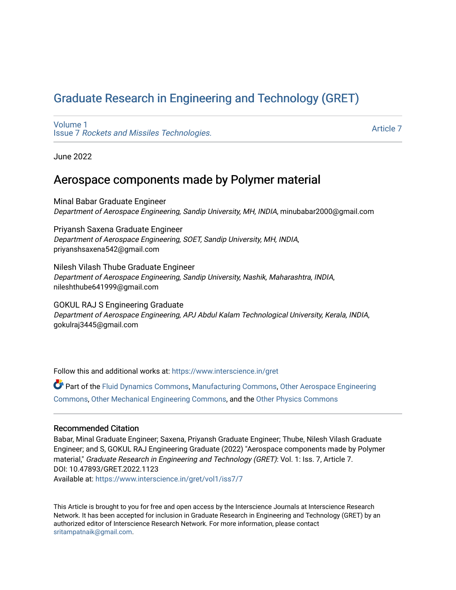# [Graduate Research in Engineering and Technology \(GRET\)](https://www.interscience.in/gret)

[Volume 1](https://www.interscience.in/gret/vol1) Issue 7 [Rockets and Missiles Technologies.](https://www.interscience.in/gret/vol1/iss7)

[Article 7](https://www.interscience.in/gret/vol1/iss7/7) 

June 2022

# Aerospace components made by Polymer material

Minal Babar Graduate Engineer Department of Aerospace Engineering, Sandip University, MH, INDIA, minubabar2000@gmail.com

Priyansh Saxena Graduate Engineer Department of Aerospace Engineering, SOET, Sandip University, MH, INDIA, priyanshsaxena542@gmail.com

Nilesh Vilash Thube Graduate Engineer Department of Aerospace Engineering, Sandip University, Nashik, Maharashtra, INDIA, nileshthube641999@gmail.com

GOKUL RAJ S Engineering Graduate Department of Aerospace Engineering, APJ Abdul Kalam Technological University, Kerala, INDIA, gokulraj3445@gmail.com

Follow this and additional works at: [https://www.interscience.in/gret](https://www.interscience.in/gret?utm_source=www.interscience.in%2Fgret%2Fvol1%2Fiss7%2F7&utm_medium=PDF&utm_campaign=PDFCoverPages)

Part of the [Fluid Dynamics Commons,](https://network.bepress.com/hgg/discipline/201?utm_source=www.interscience.in%2Fgret%2Fvol1%2Fiss7%2F7&utm_medium=PDF&utm_campaign=PDFCoverPages) [Manufacturing Commons,](https://network.bepress.com/hgg/discipline/301?utm_source=www.interscience.in%2Fgret%2Fvol1%2Fiss7%2F7&utm_medium=PDF&utm_campaign=PDFCoverPages) [Other Aerospace Engineering](https://network.bepress.com/hgg/discipline/228?utm_source=www.interscience.in%2Fgret%2Fvol1%2Fiss7%2F7&utm_medium=PDF&utm_campaign=PDFCoverPages) [Commons](https://network.bepress.com/hgg/discipline/228?utm_source=www.interscience.in%2Fgret%2Fvol1%2Fiss7%2F7&utm_medium=PDF&utm_campaign=PDFCoverPages), [Other Mechanical Engineering Commons,](https://network.bepress.com/hgg/discipline/304?utm_source=www.interscience.in%2Fgret%2Fvol1%2Fiss7%2F7&utm_medium=PDF&utm_campaign=PDFCoverPages) and the [Other Physics Commons](https://network.bepress.com/hgg/discipline/207?utm_source=www.interscience.in%2Fgret%2Fvol1%2Fiss7%2F7&utm_medium=PDF&utm_campaign=PDFCoverPages) 

# Recommended Citation

Babar, Minal Graduate Engineer; Saxena, Priyansh Graduate Engineer; Thube, Nilesh Vilash Graduate Engineer; and S, GOKUL RAJ Engineering Graduate (2022) "Aerospace components made by Polymer material," Graduate Research in Engineering and Technology (GRET): Vol. 1: Iss. 7, Article 7. DOI: 10.47893/GRET.2022.1123

Available at: [https://www.interscience.in/gret/vol1/iss7/7](https://www.interscience.in/gret/vol1/iss7/7?utm_source=www.interscience.in%2Fgret%2Fvol1%2Fiss7%2F7&utm_medium=PDF&utm_campaign=PDFCoverPages)

This Article is brought to you for free and open access by the Interscience Journals at Interscience Research Network. It has been accepted for inclusion in Graduate Research in Engineering and Technology (GRET) by an authorized editor of Interscience Research Network. For more information, please contact [sritampatnaik@gmail.com](mailto:sritampatnaik@gmail.com).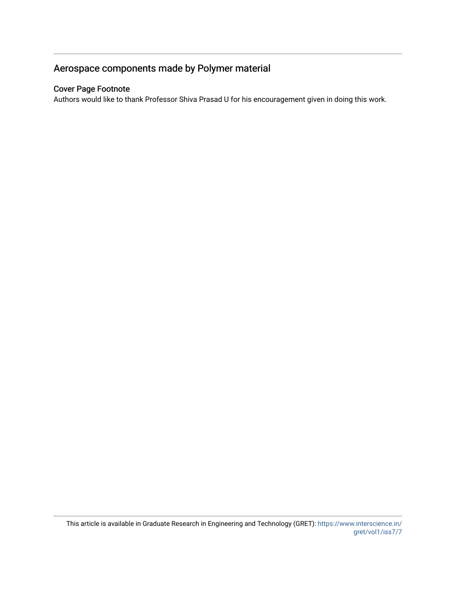# Aerospace components made by Polymer material

# Cover Page Footnote

Authors would like to thank Professor Shiva Prasad U for his encouragement given in doing this work.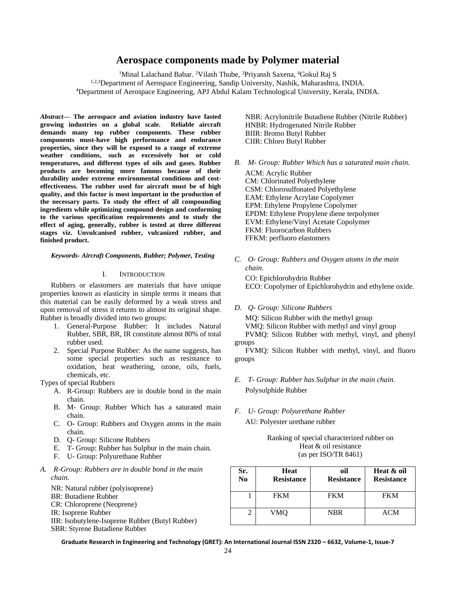# **Aerospace components made by Polymer material**

<sup>1</sup>Minal Lalachand Babar. <sup>2</sup>Vilash Thube, <sup>3</sup>Priyansh Saxena, <sup>4</sup>Gokul Raj S <sup>1,2,3</sup>Department of Aerospace Engineering, Sandip University, Nashik, Maharashtra, INDIA. <sup>4</sup>Department of Aerospace Engineering, APJ Abdul Kalam Technological University, Kerala, INDIA.

*Abstract***— The aerospace and aviation industry have fasted growing industries on a global scale. Reliable aircraft demands many top rubber components. These rubber components must-have high performance and endurance properties, since they will be exposed to a range of extreme weather conditions, such as excessively hot or cold temperatures, and different types of oils and gases. Rubber products are becoming more famous because of their durability under extreme environmental conditions and costeffectiveness. The rubber used for aircraft must be of high quality, and this factor is most important in the production of the necessary parts. To study the effect of all compounding ingredients while optimizing compound design and conforming to the various specification requirements and to study the effect of aging, generally, rubber is tested at three different stages viz. Unvulcanised rubber, vulcanized rubber, and finished product.** 

#### *Keywords- Aircraft Components, Rubber; Polymer, Testing*

### I. INTRODUCTION

Rubbers or elastomers are materials that have unique properties known as elasticity in simple terms it means that this material can be easily deformed by a weak stress and upon removal of stress it returns to almost its original shape. Rubber is broadly divided into two groups:

- 1. General-Purpose Rubber: It includes Natural Rubber, SBR, BR, IR constitute almost 80% of total rubber used.
- 2. Special Purpose Rubber: As the name suggests, has some special properties such as resistance to oxidation, heat weathering, ozone, oils, fuels, chemicals, etc.

Types of special Rubbers

- A. R-Group: Rubbers are in double bond in the main chain.
- B. M- Group: Rubber Which has a saturated main chain.
- C. O- Group: Rubbers and Oxygen atoms in the main chain.
- D. Q- Group: Silicone Rubbers
- E. T- Group: Rubber has Sulphur in the main chain.
- F. U- Group: Polyurethane Rubber
- *A. R-Group: Rubbers are in double bond in the main chain.*
	- NR: Natural rubber (polyisoprene) BR: Butadiene Rubber CR: Chloroprene (Neoprene) IR: Isoprene Rubber IIR: Isobutylene-Isoprene Rubber (Butyl Rubber) SBR: Styrene Butadiene Rubber

NBR: Acrylonitrile Butadiene Rubber (Nitrile Rubber) HNBR: Hydrogenated Nitrile Rubber BIIR: Bromo Butyl Rubber CIIR: Chloro Butyl Rubber

*B. M- Group: Rubber Which has a saturated main chain.*

ACM: Acrylic Rubber CM: Chlorinated Polyethylene CSM: Chlorosulfonated Polyethylene EAM: Ethylene Acrylate Copolymer EPM: Ethylene Propylene Copolymer EPDM: Ethylene Propylene diene terpolymer EVM: Ethylene/Vinyl Acetate Copolymer FKM: Fluorocarbon Rubbers FFKM: perfluoro elastomers

*C. O- Group: Rubbers and Oxygen atoms in the main chain.*

CO: Epichlorohydrin Rubber ECO: Copolymer of Epichlorohydrin and ethylene oxide.

*D. Q- Group: Silicone Rubbers* 

MQ: Silicon Rubber with the methyl group VMQ: Silicon Rubber with methyl and vinyl group PVMQ: Silicon Rubber with methyl, vinyl, and phenyl groups

FVMQ: Silicon Rubber with methyl, vinyl, and fluoro groups

- *E. T- Group: Rubber has Sulphur in the main chain.* Polysulphide Rubber
- *F. U- Group: Polyurethane Rubber* AU: Polyester urethane rubber

Ranking of special characterized rubber on Heat & oil resistance (as per ISO/TR 8461)

| Sr.<br>N <sub>0</sub> | Heat<br><b>Resistance</b> | oil<br><b>Resistance</b> | Heat & oil<br><b>Resistance</b> |
|-----------------------|---------------------------|--------------------------|---------------------------------|
|                       | <b>FKM</b>                | <b>FKM</b>               | <b>FKM</b>                      |
|                       | VMO                       | <b>NBR</b>               | ACM                             |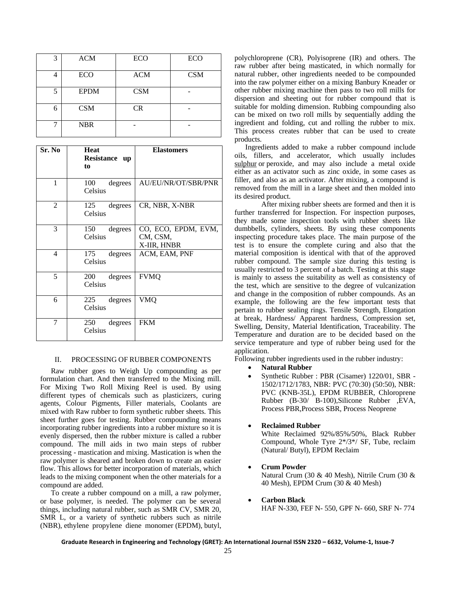| 3 | <b>ACM</b>  | <b>ECO</b> | <b>ECO</b> |
|---|-------------|------------|------------|
|   | <b>ECO</b>  | <b>ACM</b> | <b>CSM</b> |
| 5 | <b>EPDM</b> | <b>CSM</b> |            |
| 6 | <b>CSM</b>  | <b>CR</b>  |            |
|   | <b>NBR</b>  |            |            |

| Sr. No         | <b>Heat</b><br>Resistance up<br>to | <b>Elastomers</b>                              |
|----------------|------------------------------------|------------------------------------------------|
| 1              | 100<br>degrees<br>Celsius          | AU/EU/NR/OT/SBR/PNR                            |
| $\overline{2}$ | degrees<br>125<br>Celsius          | CR, NBR, X-NBR                                 |
| 3              | degrees<br>150<br>Celsius          | CO, ECO, EPDM, EVM,<br>CM, CSM,<br>X-IIR, HNBR |
| 4              | degrees<br>175<br>Celsius          | ACM, EAM, PNF                                  |
| 5              | 200<br>degrees<br>Celsius          | <b>FVMQ</b>                                    |
| 6              | 225<br>degrees<br>Celsius          | VMQ                                            |
| 7              | 250<br>degrees<br>Celsius          | <b>FKM</b>                                     |

### II. PROCESSING OF RUBBER COMPONENTS

Raw rubber goes to Weigh Up compounding as per formulation chart. And then transferred to the Mixing mill. For Mixing Two Roll Mixing Reel is used. By using different types of chemicals such as plasticizers, curing agents, Colour Pigments, Filler materials, Coolants are mixed with Raw rubber to form synthetic rubber sheets. This sheet further goes for testing. Rubber compounding means incorporating rubber ingredients into a rubber mixture so it is evenly dispersed, then the rubber mixture is called a rubber compound. The mill aids in two main steps of rubber processing - [mastication](https://en.wikipedia.org/wiki/Mastication) and mixing. Mastication is when the raw [polymer](https://en.wikipedia.org/wiki/Polymer) is sheared and broken down to create an easier flow. This allows for better incorporation of materials, which leads to the mixing component when the other materials for a compound are added.

To create a rubber compound on a mill, a raw polymer, or base polymer, is needed. The polymer can be several things, including natural rubber, such as SMR CV, SMR 20, SMR L, or a variety of synthetic rubbers such as [nitrile](https://en.wikipedia.org/wiki/Nitrile_rubber) (NBR), [ethylene propylene diene monomer](https://en.wikipedia.org/wiki/Ethylene_Propylene_Diene_Monomer) (EPDM), [butyl,](https://en.wikipedia.org/wiki/Butyl_rubber) polychloroprene (CR), Polyisoprene (IR) and others. The raw rubber after being masticated, in which normally for natural rubber, other ingredients needed to be compounded into the raw polymer either on a mixing Banbury Kneader or other rubber mixing machine then pass to two roll mills for dispersion and sheeting out for rubber compound that is suitable for molding dimension. Rubbing compounding also can be mixed on two roll mills by sequentially adding the ingredient and folding, cut and rolling the rubber to mix. This process creates rubber that can be used to create products.

Ingredients added to make a rubber compound include oils, fillers, and accelerator, which usually includes [sulphur](https://en.wikipedia.org/wiki/Sulfur) or [peroxide,](https://en.wikipedia.org/wiki/Peroxide) and may also include a metal oxide either as an activator such as [zinc oxide,](https://en.wikipedia.org/wiki/Zinc_oxide) in some cases as filler, and also as an activator. After mixing, a compound is removed from the mill in a large sheet and then molded into its desired product.

After mixing rubber sheets are formed and then it is further transferred for Inspection. For inspection purposes, they made some inspection tools with rubber sheets like dumbbells, cylinders, sheets. By using these components inspecting procedure takes place. The main purpose of the test is to ensure the complete curing and also that the material composition is identical with that of the approved rubber compound. The sample size during this testing is usually restricted to 3 percent of a batch. Testing at this stage is mainly to assess the suitability as well as consistency of the test, which are sensitive to the degree of vulcanization and change in the composition of rubber compounds. As an example, the following are the few important tests that pertain to rubber sealing rings. Tensile Strength, Elongation at break, Hardness/ Apparent hardness, Compression set, Swelling, Density, Material Identification, Traceability. The Temperature and duration are to be decided based on the service temperature and type of rubber being used for the application.

Following rubber ingredients used in the rubber industry:

- **Natural Rubber**
- Synthetic Rubber : PBR (Cisamer) 1220/01, SBR 1502/1712/1783, NBR: PVC (70:30) (50:50), NBR: PVC (KNB-35L), EPDM RUBBER, Chloroprene Rubber (B-30/ B-100),Silicone Rubber ,EVA, Process PBR,Process SBR, Process Neoprene
- **Reclaimed Rubber**

White Reclaimed 92%/85%/50%, Black Rubber Compound, Whole Tyre 2\*/3\*/ SF, Tube, reclaim (Natural/ Butyl), EPDM Reclaim

- **Crum Powder** Natural Crum (30 & 40 Mesh), Nitrile Crum (30 & 40 Mesh), EPDM Crum (30 & 40 Mesh)
- **Carbon Black**  HAF N-330, FEF N- 550, GPF N- 660, SRF N- 774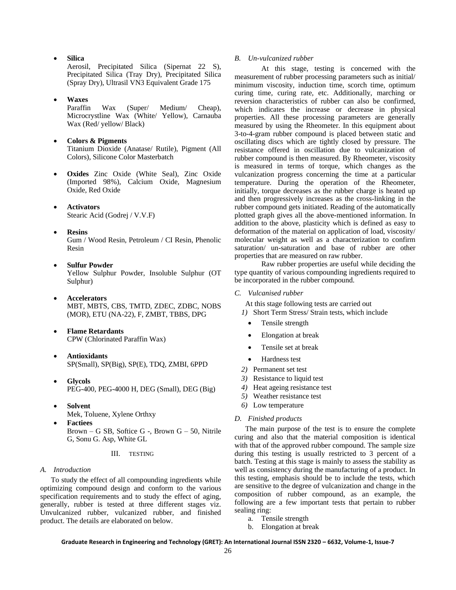• **Silica** 

Aerosil, Precipitated Silica (Sipernat 22 S), Precipitated Silica (Tray Dry), Precipitated Silica (Spray Dry), Ultrasil VN3 Equivalent Grade 175

• **Waxes**

Paraffin Wax (Super/ Medium/ Cheap), Microcrystline Wax (White/ Yellow), Carnauba Wax (Red/ yellow/ Black)

- **Colors & Pigments**  Titanium Dioxide (Anatase/ Rutile), Pigment (All Colors), Silicone Color Masterbatch
- **Oxides** Zinc Oxide (White Seal), Zinc Oxide (Imported 98%), Calcium Oxide, Magnesium Oxide, Red Oxide
- **Activators** Stearic Acid (Godrej / V.V.F)
- **Resins**  Gum / Wood Resin, Petroleum / CI Resin, Phenolic Resin
- **Sulfur Powder**  Yellow Sulphur Powder, Insoluble Sulphur (OT Sulphur)
- **Accelerators** MBT, MBTS, CBS, TMTD, ZDEC, ZDBC, NOBS (MOR), ETU (NA-22), F, ZMBT, TBBS, DPG
- **Flame Retardants** CPW (Chlorinated Paraffin Wax)
- **Antioxidants** SP(Small), SP(Big), SP(E), TDQ, ZMBI, 6PPD
- **Glycols** PEG-400, PEG-4000 H, DEG (Small), DEG (Big)
- **Solvent** Mek, Toluene, Xylene Orthxy
- **Factiees** Brown – G SB, Softice G -, Brown  $G - 50$ , Nitrile G, Sonu G. Asp, White GL

#### III. TESTING

#### *A. Introduction*

To study the effect of all compounding ingredients while optimizing compound design and conform to the various specification requirements and to study the effect of aging, generally, rubber is tested at three different stages viz. Unvulcanized rubber, vulcanized rubber, and finished product. The details are elaborated on below.

### *B. Un-vulcanized rubber*

At this stage, testing is concerned with the measurement of rubber processing parameters such as initial/ minimum viscosity, induction time, scorch time, optimum curing time, curing rate, etc. Additionally, marching or reversion characteristics of rubber can also be confirmed, which indicates the increase or decrease in physical properties. All these processing parameters are generally measured by using the Rheometer. In this equipment about 3-to-4-gram rubber compound is placed between static and oscillating discs which are tightly closed by pressure. The resistance offered in oscillation due to vulcanization of rubber compound is then measured. By Rheometer, viscosity is measured in terms of torque, which changes as the vulcanization progress concerning the time at a particular temperature. During the operation of the Rheometer, initially, torque decreases as the rubber charge is heated up and then progressively increases as the cross-linking in the rubber compound gets initiated. Reading of the automatically plotted graph gives all the above-mentioned information. In addition to the above, plasticity which is defined as easy to deformation of the material on application of load, viscosity/ molecular weight as well as a characterization to confirm saturation/ un-saturation and base of rubber are other properties that are measured on raw rubber.

Raw rubber properties are useful while deciding the type quantity of various compounding ingredients required to be incorporated in the rubber compound.

### *C. Vulcanised rubber*

At this stage following tests are carried out

*1)* Short Term Stress/ Strain tests, which include

- Tensile strength
- Elongation at break
- Tensile set at break
- Hardness test
- *2)* Permanent set test
- *3)* Resistance to liquid test
- *4)* Heat ageing resistance test
- *5)* Weather resistance test
- *6)* Low temperature

#### *D. Finished products*

The main purpose of the test is to ensure the complete curing and also that the material composition is identical with that of the approved rubber compound. The sample size during this testing is usually restricted to 3 percent of a batch. Testing at this stage is mainly to assess the stability as well as consistency during the manufacturing of a product. In this testing, emphasis should be to include the tests, which are sensitive to the degree of vulcanization and change in the composition of rubber compound, as an example, the following are a few important tests that pertain to rubber sealing ring:

- a. Tensile strength
- b. Elongation at break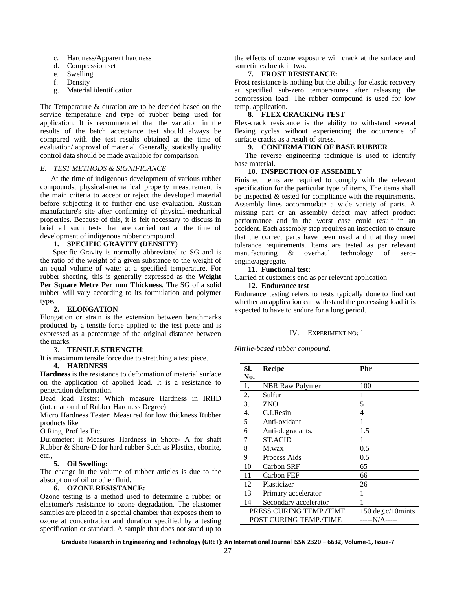- c. Hardness/Apparent hardness
- d. Compression set
- e. Swelling
- f. Density
- g. Material identification

The Temperature & duration are to be decided based on the service temperature and type of rubber being used for application. It is recommended that the variation in the results of the batch acceptance test should always be compared with the test results obtained at the time of evaluation/ approval of material. Generally, statically quality control data should be made available for comparison.

#### *E. TEST METHODS & SIGNIFICANCE*

At the time of indigenous development of various rubber compounds, physical-mechanical property measurement is the main criteria to accept or reject the developed material before subjecting it to further end use evaluation. Russian manufacture's site after confirming of physical-mechanical properties. Because of this, it is felt necessary to discuss in brief all such tests that are carried out at the time of development of indigenous rubber compound.

#### **1. SPECIFIC GRAVITY (DENSITY)**

Specific Gravity is normally abbreviated to SG and is the ratio of the weight of a given substance to the weight of an equal volume of water at a specified temperature. For rubber sheeting, this is generally expressed as the **Weight Per Square Metre Per mm Thickness**. The SG of a solid rubber will vary according to its formulation and polymer type.

#### **2. ELONGATION**

Elongation or strain is the extension between benchmarks produced by a tensile force applied to the test piece and is expressed as a percentage of the original distance between the marks.

#### 3. **TENSILE STRENGTH**:

It is maximum tensile force due to stretching a test piece.

#### **4. HARDNESS**

**Hardness** is the resistance to deformation of material surface on the application of applied load. It is a resistance to penetration deformation.

Dead load Tester: Which measure Hardness in IRHD (international of Rubber Hardness Degree)

Micro Hardness Tester: Measured for low thickness Rubber products like

O Ring, Profiles Etc.

Durometer: it Measures Hardness in Shore- A for shaft Rubber & Shore-D for hard rubber Such as Plastics, ebonite, etc.,

### **5. Oil Swelling:**

The change in the volume of rubber articles is due to the absorption of oil or other fluid.

# **6. OZONE RESISTANCE:**

Ozone testing is a method used to determine a rubber or elastomer's resistance to ozone degradation. The elastomer samples are placed in a special chamber that exposes them to ozone at concentration and duration specified by a testing specification or standard. A sample that does not stand up to

the effects of ozone exposure will crack at the surface and sometimes break in two.

#### **7. FROST RESISTANCE:**

Frost resistance is nothing but the ability for elastic recovery at specified sub-zero temperatures after releasing the compression load. The rubber compound is used for low temp. application.

# **8. FLEX CRACKING TEST**

Flex-crack resistance is the ability to withstand several flexing cycles without experiencing the occurrence of surface cracks as a result of stress.

#### **9. CONFIRMATION OF BASE RUBBER**

The reverse engineering technique is used to identify base material.

#### **10. INSPECTION OF ASSEMBLY**

Finished items are required to comply with the relevant specification for the particular type of items, The items shall be inspected & tested for compliance with the requirements. Assembly lines accommodate a wide variety of parts. A missing part or an assembly defect may affect product performance and in the worst case could result in an accident. Each assembly step requires an inspection to ensure that the correct parts have been used and that they meet tolerance requirements. Items are tested as per relevant manufacturing & overhaul technology of aeroengine/aggregate.

#### **11. Functional test:**

Carried at customers end as per relevant application

**12. Endurance test** Endurance testing refers to tests typically done to find out whether an application can withstand the processing load it is expected to have to endure for a long period.

#### IV. EXPERIMENT NO: 1

*Nitrile-based rubber compound.*

| SI.              | <b>Recipe</b>           | Phr               |
|------------------|-------------------------|-------------------|
| No.              |                         |                   |
| 1.               | <b>NBR Raw Polymer</b>  | 100               |
| 2.               | Sulfur                  | 1                 |
| 3.               | ZNO                     | 5                 |
| $\overline{4}$ . | C.I.Resin               | 4                 |
| 5                | Anti-oxidant            | 1                 |
| 6                | Anti-degradants.        | 1.5               |
| 7                | <b>ST.ACID</b>          |                   |
| 8                | M.wax                   | 0.5               |
| 9                | Process Aids            | 0.5               |
| 10               | Carbon SRF              | 65                |
| 11               | Carbon FEF              | 66                |
| 12               | Plasticizer             | 26                |
| 13               | Primary accelerator     |                   |
| 14               | Secondary accelerator   |                   |
|                  | PRESS CURING TEMP./TIME | 150 deg.c/10mints |
|                  | POST CURING TEMP./TIME  | -----N/A-----     |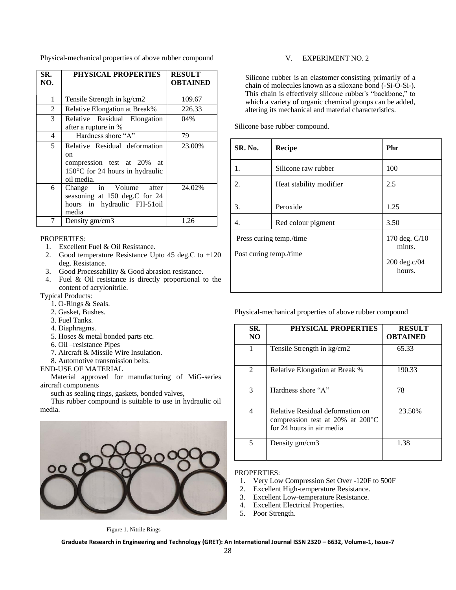Physical-mechanical properties of above rubber compound

| SR.<br>NO. | PHYSICAL PROPERTIES                                                                                                          | <b>RESULT</b><br><b>OBTAINED</b> |
|------------|------------------------------------------------------------------------------------------------------------------------------|----------------------------------|
| 1          | Tensile Strength in kg/cm2                                                                                                   | 109.67                           |
| 2          | Relative Elongation at Break%                                                                                                | 226.33                           |
| 3          | Relative Residual Elongation<br>after a rupture in %                                                                         | 04%                              |
| 4          | Hardness shore "A"                                                                                                           | 79                               |
| 5          | Relative Residual deformation<br>on<br>compression test at 20% at<br>$150^{\circ}$ C for 24 hours in hydraulic<br>oil media. | 23.00%                           |
| 6          | Change in Volume<br>after<br>seasoning at 150 deg.C for 24<br>hours in hydraulic FH-51oil<br>media                           | 24.02%                           |
| 7          | Density gm/cm3                                                                                                               | 1.26                             |

# PROPERTIES:

- 1. Excellent Fuel & Oil Resistance.
- 2. Good temperature Resistance Upto 45 deg.C to +120 deg. Resistance.
- 3. Good Processability & Good abrasion resistance.
- 4. Fuel & Oil resistance is directly proportional to the content of acrylonitrile.
- Typical Products:
	- 1. O-Rings & Seals.
	- 2. Gasket, Bushes.
	- 3. Fuel Tanks.
	- 4. Diaphragms.
	- 5. Hoses & metal bonded parts etc.
	- 6. Oil –resistance Pipes
	- 7. Aircraft & Missile Wire Insulation.
	- 8. Automotive transmission belts.

## END-USE OF MATERIAL

Material approved for manufacturing of MiG-series aircraft components

such as sealing rings, gaskets, bonded valves,

This rubber compound is suitable to use in hydraulic oil media.



### V. EXPERIMENT NO. 2

Silicone rubber is an elastomer consisting primarily of a chain of molecules known as a siloxane bond (-Si-O-Si-). This chain is effectively silicone rubber's "backbone," to which a variety of organic chemical groups can be added, altering its mechanical and material characteristics.

Silicone base rubber compound.

| SR. No.                                           | <b>Recipe</b>           | Phr                     |
|---------------------------------------------------|-------------------------|-------------------------|
| 1.                                                | Silicone raw rubber     | 100                     |
| 2.                                                | Heat stability modifier | 2.5                     |
| 3.                                                | Peroxide                | 1.25                    |
| 4.                                                | Red colour pigment      | 3.50                    |
| Press curing temp./time<br>Post curing temp./time |                         | 170 deg. C/10<br>mints. |
|                                                   |                         | 200 deg.c/04<br>hours.  |

Physical-mechanical properties of above rubber compound

| SR.<br>N <sub>O</sub> | PHYSICAL PROPERTIES                                                                                         | <b>RESULT</b><br><b>OBTAINED</b> |
|-----------------------|-------------------------------------------------------------------------------------------------------------|----------------------------------|
|                       | Tensile Strength in kg/cm2                                                                                  | 65.33                            |
| $\mathfrak{D}$        | Relative Elongation at Break %                                                                              | 190.33                           |
| 3                     | Hardness shore "A"                                                                                          | 78                               |
| 4                     | Relative Residual deformation on<br>compression test at 20% at $200^{\circ}$ C<br>for 24 hours in air media | 23.50%                           |
| 5                     | Density gm/cm3                                                                                              | 1.38                             |

#### PROPERTIES:

- 1. Very Low Compression Set Over -120F to 500F
- 2. Excellent High-temperature Resistance.<br>3. Excellent Low-temperature Resistance.
- Excellent Low-temperature Resistance.
- 4. Excellent Electrical Properties.<br>5. Poor Strength.
- Poor Strength.

Figure 1. Nitrile Rings